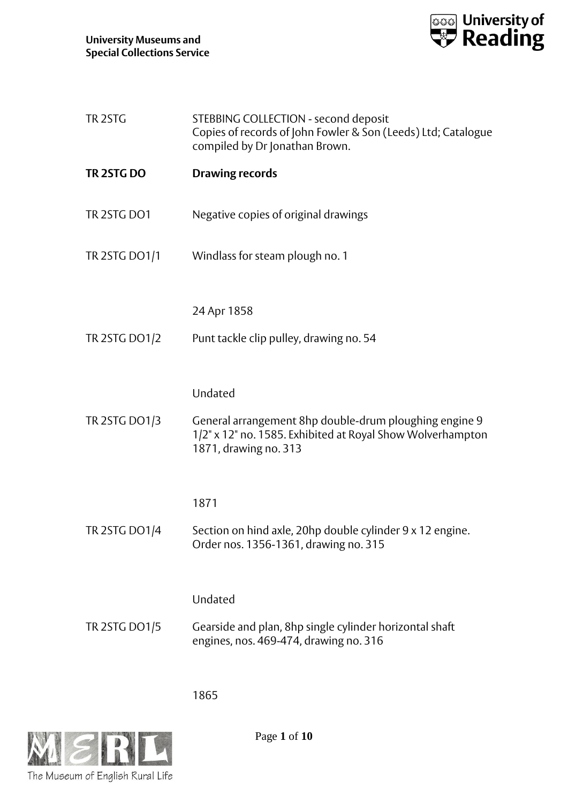

| TR <sub>2STG</sub>   | STEBBING COLLECTION - second deposit<br>Copies of records of John Fowler & Son (Leeds) Ltd; Catalogue<br>compiled by Dr Jonathan Brown.       |
|----------------------|-----------------------------------------------------------------------------------------------------------------------------------------------|
| TR 2STG DO           | <b>Drawing records</b>                                                                                                                        |
| TR 2STG DO1          | Negative copies of original drawings                                                                                                          |
| <b>TR 2STG DO1/1</b> | Windlass for steam plough no. 1                                                                                                               |
|                      | 24 Apr 1858                                                                                                                                   |
| <b>TR 2STG DO1/2</b> | Punt tackle clip pulley, drawing no. 54                                                                                                       |
|                      | Undated                                                                                                                                       |
| <b>TR 2STG DO1/3</b> | General arrangement 8hp double-drum ploughing engine 9<br>1/2" x 12" no. 1585. Exhibited at Royal Show Wolverhampton<br>1871, drawing no. 313 |
|                      | 1871                                                                                                                                          |
| <b>TR 2STG DO1/4</b> | Section on hind axle, 20hp double cylinder 9 x 12 engine.<br>Order nos. 1356-1361, drawing no. 315                                            |
|                      | Undated                                                                                                                                       |
| <b>TR 2STG DO1/5</b> | Gearside and plan, 8hp single cylinder horizontal shaft<br>engines, nos. 469-474, drawing no. 316                                             |

1865



Page **1** of **10**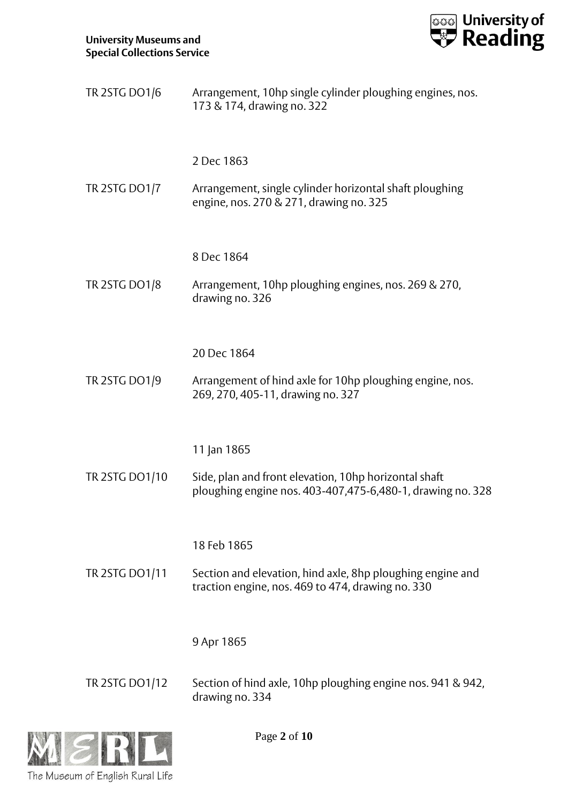

| TR 2STG DO1/6         | Arrangement, 10hp single cylinder ploughing engines, nos.<br>173 & 174, drawing no. 322                                       |
|-----------------------|-------------------------------------------------------------------------------------------------------------------------------|
| <b>TR 2STG DO1/7</b>  | 2 Dec 1863<br>Arrangement, single cylinder horizontal shaft ploughing<br>engine, nos. 270 & 271, drawing no. 325              |
| <b>TR 2STG DO1/8</b>  | 8 Dec 1864<br>Arrangement, 10hp ploughing engines, nos. 269 & 270,<br>drawing no. 326                                         |
| TR 2STG DO1/9         | 20 Dec 1864<br>Arrangement of hind axle for 10hp ploughing engine, nos.<br>269, 270, 405-11, drawing no. 327                  |
| TR 2STG DO1/10        | 11 Jan 1865<br>Side, plan and front elevation, 10hp horizontal shaft                                                          |
|                       | ploughing engine nos. 403-407,475-6,480-1, drawing no. 328<br>18 Feb 1865                                                     |
| <b>TR 2STG DO1/11</b> | Section and elevation, hind axle, 8hp ploughing engine and<br>traction engine, nos. 469 to 474, drawing no. 330<br>9 Apr 1865 |
| TR 2STG DO1/12        | Section of hind axle, 10hp ploughing engine nos. 941 & 942,<br>drawing no. 334                                                |



Page **2** of **10**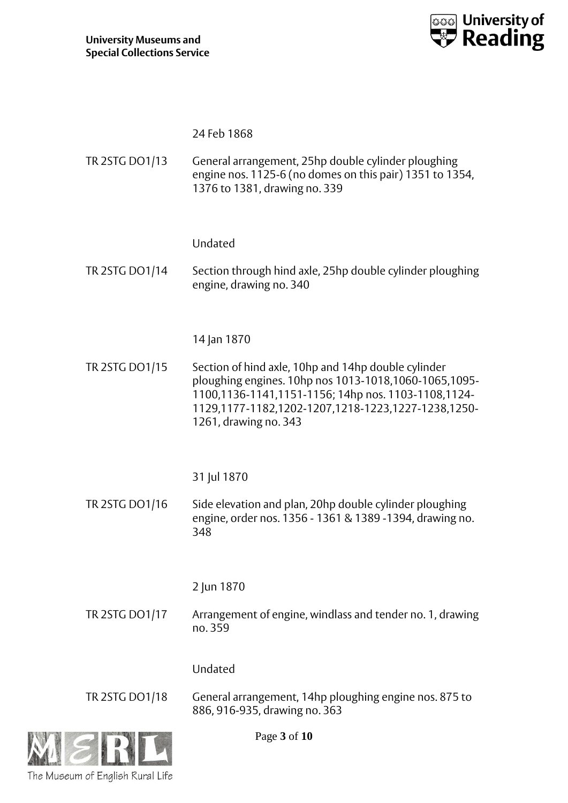

| TR 2STG DO1/13 | 24 Feb 1868<br>General arrangement, 25hp double cylinder ploughing<br>engine nos. 1125-6 (no domes on this pair) 1351 to 1354,<br>1376 to 1381, drawing no. 339                                                                                                   |
|----------------|-------------------------------------------------------------------------------------------------------------------------------------------------------------------------------------------------------------------------------------------------------------------|
| TR 2STG DO1/14 | Undated<br>Section through hind axle, 25hp double cylinder ploughing<br>engine, drawing no. 340                                                                                                                                                                   |
| TR 2STG DO1/15 | 14 Jan 1870<br>Section of hind axle, 10hp and 14hp double cylinder<br>ploughing engines. 10hp nos 1013-1018,1060-1065,1095-<br>1100,1136-1141,1151-1156; 14hp nos. 1103-1108,1124-<br>1129,1177-1182,1202-1207,1218-1223,1227-1238,1250-<br>1261, drawing no. 343 |
| TR 2STG DO1/16 | 31 Jul 1870<br>Side elevation and plan, 20hp double cylinder ploughing<br>engine, order nos. 1356 - 1361 & 1389 -1394, drawing no.<br>348                                                                                                                         |
| TR 2STG DO1/17 | 2 Jun 1870<br>Arrangement of engine, windlass and tender no. 1, drawing<br>no. 359                                                                                                                                                                                |
| TR 2STG DO1/18 | Undated<br>General arrangement, 14hp ploughing engine nos. 875 to<br>886, 916-935, drawing no. 363<br>$D_{\alpha\alpha\alpha}$ 2 of 10                                                                                                                            |



Page **3** of **10**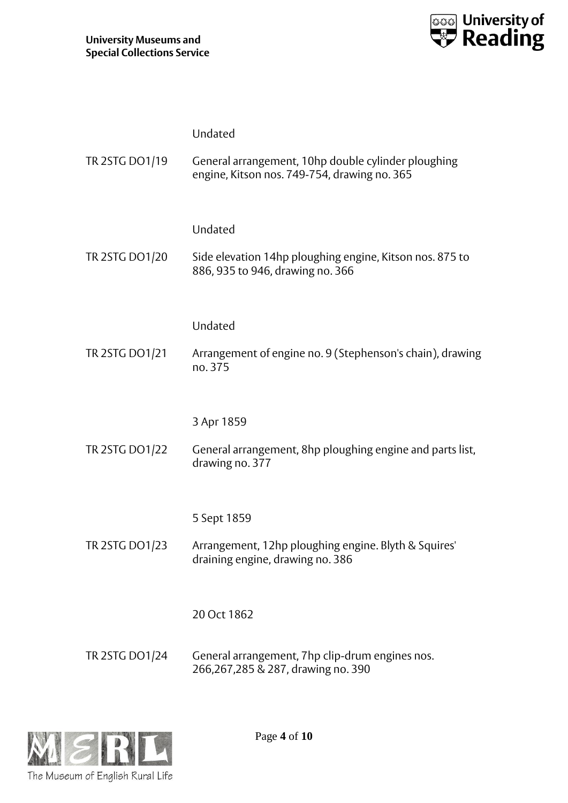

|                | Undated                                                                                             |
|----------------|-----------------------------------------------------------------------------------------------------|
| TR 2STG DO1/19 | General arrangement, 10hp double cylinder ploughing<br>engine, Kitson nos. 749-754, drawing no. 365 |
|                | Undated                                                                                             |
| TR 2STG DO1/20 | Side elevation 14hp ploughing engine, Kitson nos. 875 to<br>886, 935 to 946, drawing no. 366        |
|                | Undated                                                                                             |
| TR 2STG DO1/21 | Arrangement of engine no. 9 (Stephenson's chain), drawing<br>no. 375                                |
|                | 3 Apr 1859                                                                                          |
| TR 2STG DO1/22 | General arrangement, 8hp ploughing engine and parts list,<br>drawing no. 377                        |
|                | 5 Sept 1859                                                                                         |
| TR 2STG DO1/23 | Arrangement, 12hp ploughing engine. Blyth & Squires'<br>draining engine, drawing no. 386            |
|                | 20 Oct 1862                                                                                         |
| TR 2STG DO1/24 | General arrangement, 7hp clip-drum engines nos.<br>266,267,285 & 287, drawing no. 390               |



Page **4** of **10**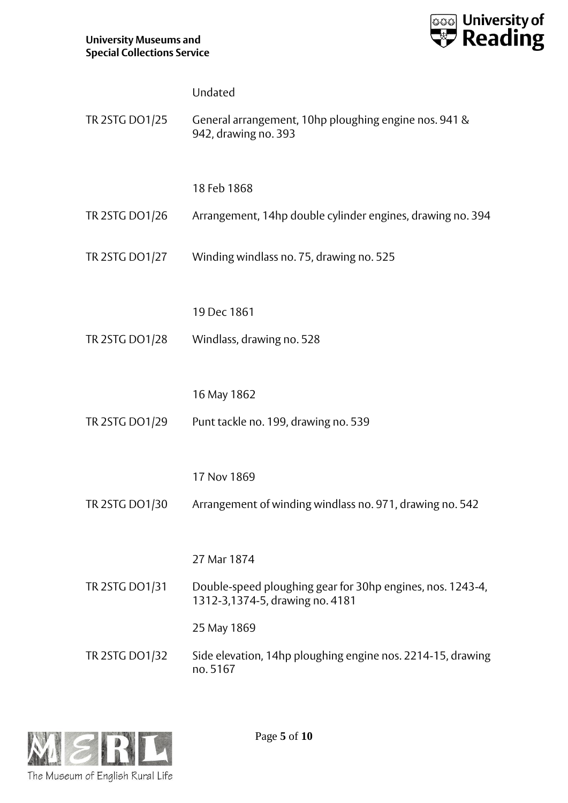

|                | Undated                                                                                       |
|----------------|-----------------------------------------------------------------------------------------------|
| TR 2STG DO1/25 | General arrangement, 10hp ploughing engine nos. 941 &<br>942, drawing no. 393                 |
|                |                                                                                               |
|                | 18 Feb 1868                                                                                   |
| TR 2STG DO1/26 | Arrangement, 14hp double cylinder engines, drawing no. 394                                    |
| TR 2STG DO1/27 | Winding windlass no. 75, drawing no. 525                                                      |
|                | 19 Dec 1861                                                                                   |
| TR 2STG DO1/28 | Windlass, drawing no. 528                                                                     |
|                |                                                                                               |
|                | 16 May 1862                                                                                   |
| TR 2STG DO1/29 | Punt tackle no. 199, drawing no. 539                                                          |
|                |                                                                                               |
|                | 17 Nov 1869                                                                                   |
| TR 2STG DO1/30 | Arrangement of winding windlass no. 971, drawing no. 542                                      |
|                |                                                                                               |
|                | 27 Mar 1874                                                                                   |
| TR 2STG DO1/31 | Double-speed ploughing gear for 30hp engines, nos. 1243-4,<br>1312-3,1374-5, drawing no. 4181 |
|                | 25 May 1869                                                                                   |
| TR 2STG DO1/32 | Side elevation, 14hp ploughing engine nos. 2214-15, drawing<br>no.5167                        |

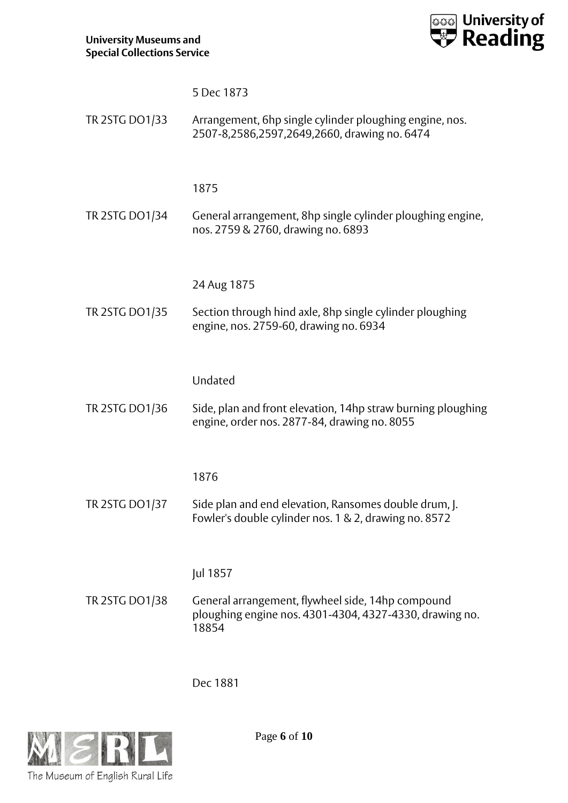

|                | 5 Dec 1873                                                                                                            |
|----------------|-----------------------------------------------------------------------------------------------------------------------|
| TR 2STG DO1/33 | Arrangement, 6hp single cylinder ploughing engine, nos.<br>2507-8,2586,2597,2649,2660, drawing no. 6474               |
|                | 1875                                                                                                                  |
| TR 2STG DO1/34 | General arrangement, 8hp single cylinder ploughing engine,<br>nos. 2759 & 2760, drawing no. 6893                      |
|                | 24 Aug 1875                                                                                                           |
| TR 2STG DO1/35 | Section through hind axle, 8hp single cylinder ploughing<br>engine, nos. 2759-60, drawing no. 6934                    |
|                | Undated                                                                                                               |
| TR 2STG DO1/36 | Side, plan and front elevation, 14hp straw burning ploughing<br>engine, order nos. 2877-84, drawing no. 8055          |
|                | 1876                                                                                                                  |
| TR 2STG DO1/37 | Side plan and end elevation, Ransomes double drum, J.<br>Fowler's double cylinder nos. 1 & 2, drawing no. 8572        |
|                | Jul 1857                                                                                                              |
| TR 2STG DO1/38 | General arrangement, flywheel side, 14hp compound<br>ploughing engine nos. 4301-4304, 4327-4330, drawing no.<br>18854 |

Dec 1881



Page **6** of **10**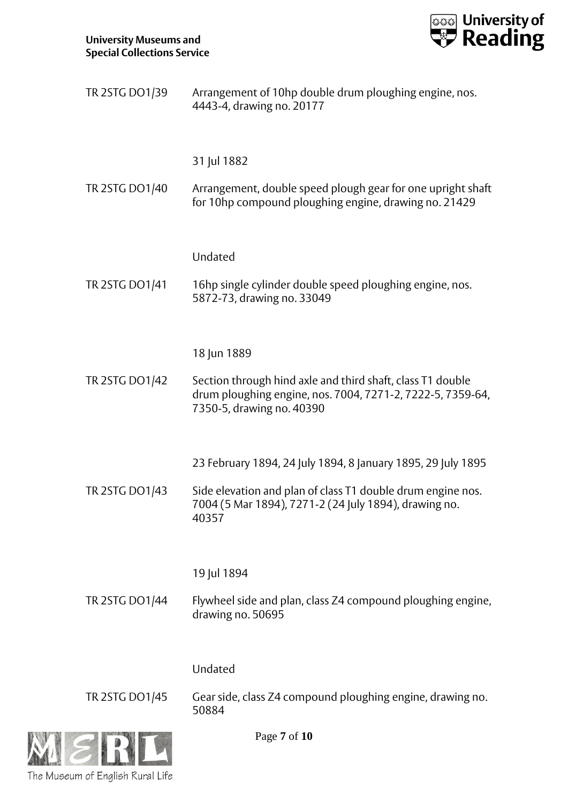

| TR 2STG DO1/39 | Arrangement of 10hp double drum ploughing engine, nos.<br>4443-4, drawing no. 20177                                                                   |
|----------------|-------------------------------------------------------------------------------------------------------------------------------------------------------|
|                | 31 Jul 1882                                                                                                                                           |
| TR 2STG DO1/40 | Arrangement, double speed plough gear for one upright shaft<br>for 10hp compound ploughing engine, drawing no. 21429                                  |
|                | Undated                                                                                                                                               |
| TR 2STG DO1/41 | 16hp single cylinder double speed ploughing engine, nos.<br>5872-73, drawing no. 33049                                                                |
|                | 18 Jun 1889                                                                                                                                           |
| TR 2STG DO1/42 | Section through hind axle and third shaft, class T1 double<br>drum ploughing engine, nos. 7004, 7271-2, 7222-5, 7359-64,<br>7350-5, drawing no. 40390 |
|                | 23 February 1894, 24 July 1894, 8 January 1895, 29 July 1895                                                                                          |
| TR 2STG DO1/43 | Side elevation and plan of class T1 double drum engine nos.<br>7004 (5 Mar 1894), 7271-2 (24 July 1894), drawing no.<br>40357                         |
|                | 19 Jul 1894                                                                                                                                           |
| TR 2STG DO1/44 | Flywheel side and plan, class Z4 compound ploughing engine,<br>drawing no. 50695                                                                      |
|                | Undated                                                                                                                                               |
| TR 2STG DO1/45 | Gear side, class Z4 compound ploughing engine, drawing no.<br>50884                                                                                   |



Page **7** of **10**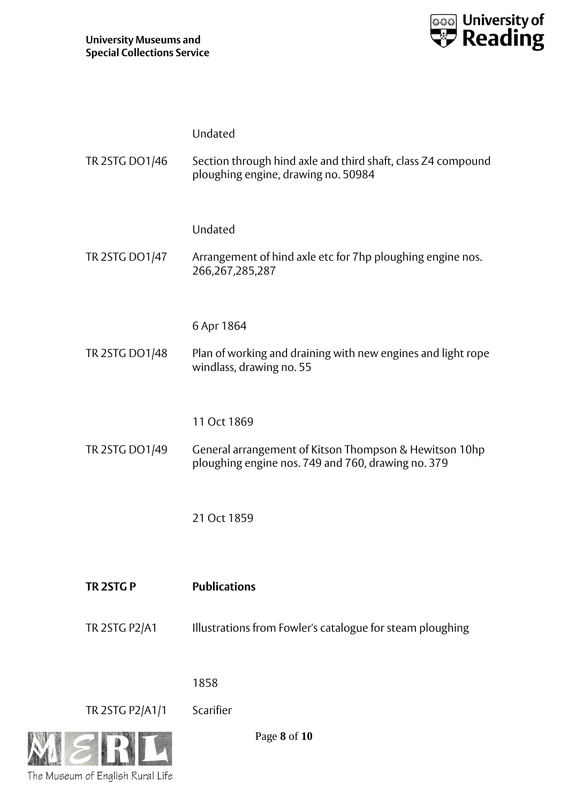The Museum of English Rural Life



|                 | Undated                                                                                                      |
|-----------------|--------------------------------------------------------------------------------------------------------------|
| TR 2STG DO1/46  | Section through hind axle and third shaft, class Z4 compound<br>ploughing engine, drawing no. 50984          |
|                 | Undated                                                                                                      |
| TR 2STG DO1/47  | Arrangement of hind axle etc for 7hp ploughing engine nos.<br>266, 267, 285, 287                             |
|                 | 6 Apr 1864                                                                                                   |
| TR 2STG DO1/48  | Plan of working and draining with new engines and light rope<br>windlass, drawing no. 55                     |
|                 |                                                                                                              |
|                 | 11 Oct 1869                                                                                                  |
| TR 2STG DO1/49  | General arrangement of Kitson Thompson & Hewitson 10hp<br>ploughing engine nos. 749 and 760, drawing no. 379 |
|                 | 21 Oct 1859                                                                                                  |
|                 |                                                                                                              |
| TR 2STG P       | <b>Publications</b>                                                                                          |
| TR 2STG P2/A1   | Illustrations from Fowler's catalogue for steam ploughing                                                    |
|                 |                                                                                                              |
|                 | 1858                                                                                                         |
| TR 2STG P2/A1/1 | Scarifier                                                                                                    |
|                 | Page 8 of 10                                                                                                 |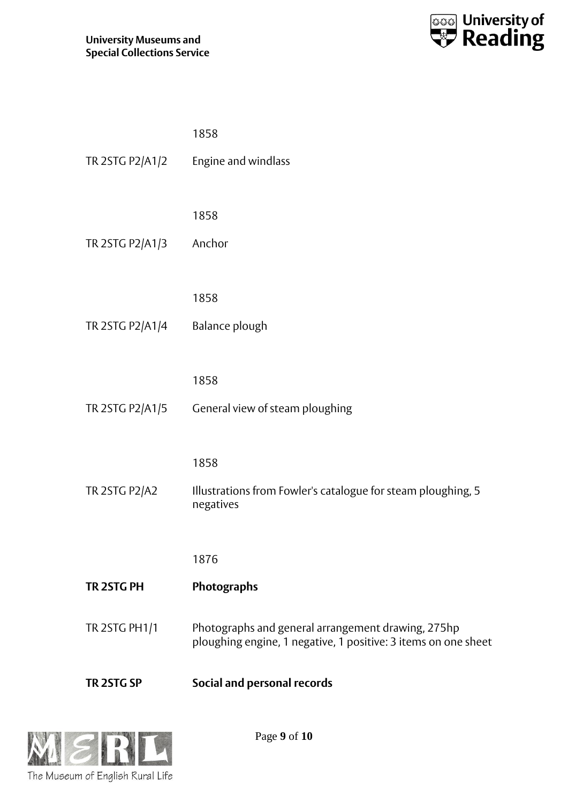

| TR 2STG SP           | <b>Social and personal records</b>                                                                                   |
|----------------------|----------------------------------------------------------------------------------------------------------------------|
| TR 2STG PH1/1        | Photographs and general arrangement drawing, 275hp<br>ploughing engine, 1 negative, 1 positive: 3 items on one sheet |
| TR 2STG PH           | <b>Photographs</b>                                                                                                   |
|                      | 1876                                                                                                                 |
|                      | negatives                                                                                                            |
| <b>TR 2STG P2/A2</b> | Illustrations from Fowler's catalogue for steam ploughing, 5                                                         |
|                      | 1858                                                                                                                 |
|                      | TR 2STG P2/A1/5 General view of steam ploughing                                                                      |
|                      | 1858                                                                                                                 |
|                      |                                                                                                                      |
| TR 2STG P2/A1/4      | Balance plough                                                                                                       |
|                      | 1858                                                                                                                 |
| TR 2STG P2/A1/3      | Anchor                                                                                                               |
|                      | 1858                                                                                                                 |
|                      |                                                                                                                      |
| TR 2STG P2/A1/2      | Engine and windlass                                                                                                  |
|                      | 1858                                                                                                                 |



Page **9** of **10**